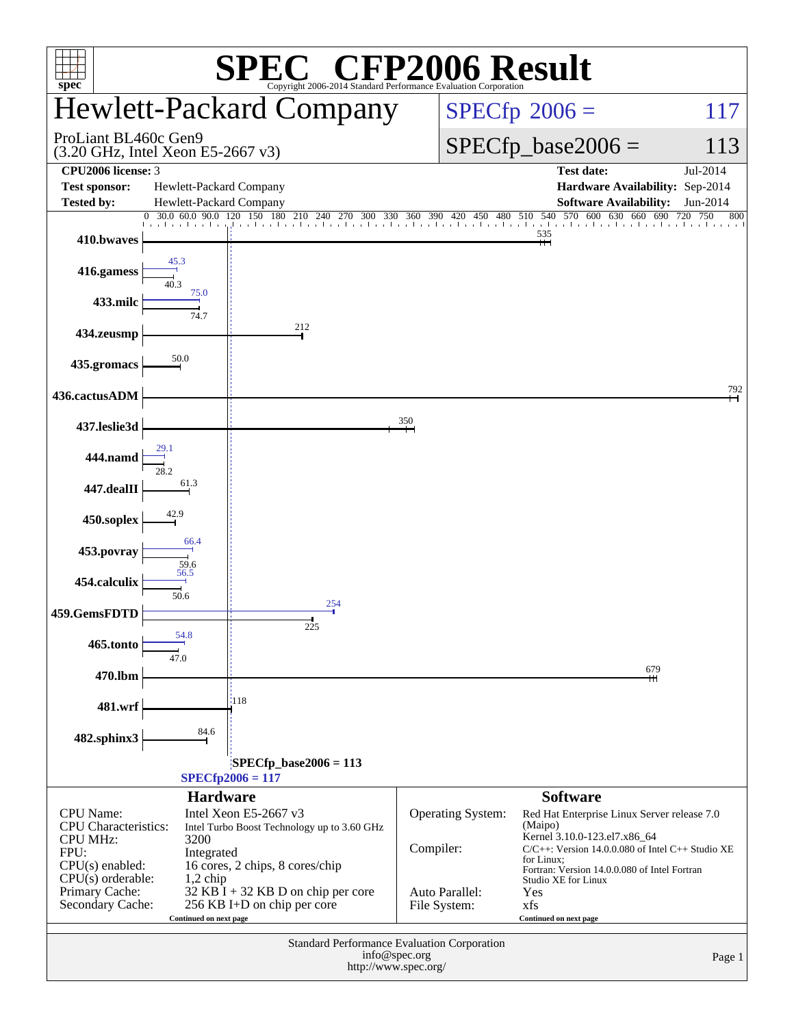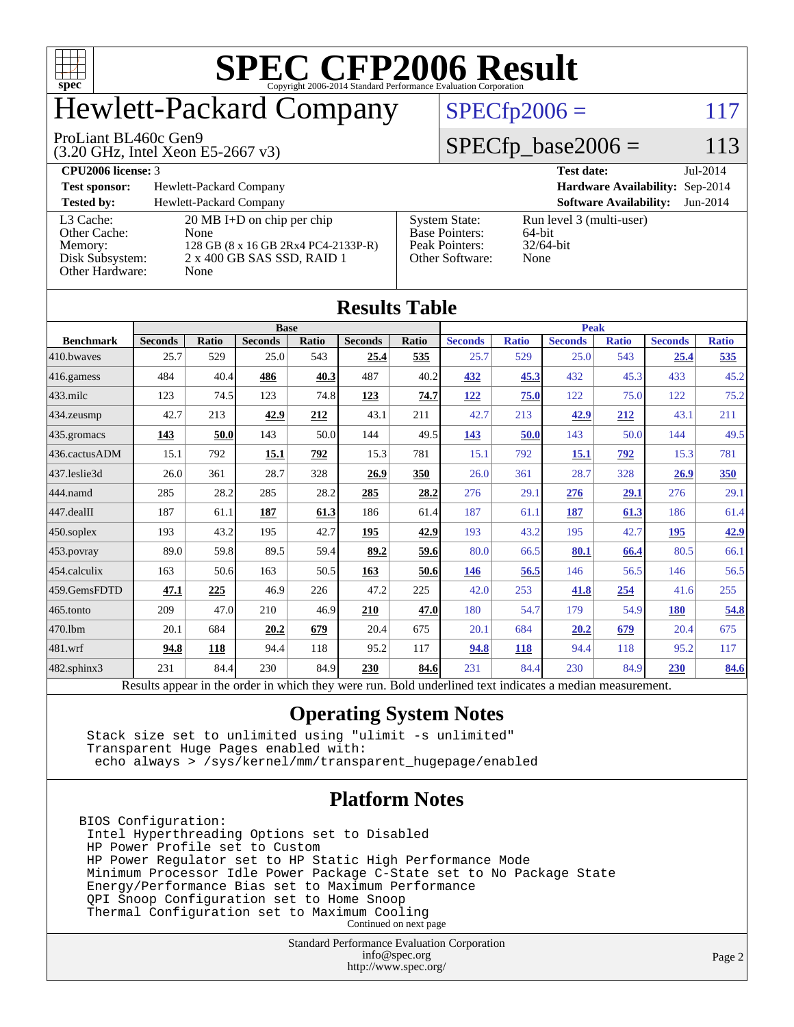

# Hewlett-Packard Company

#### ProLiant BL460c Gen9

(3.20 GHz, Intel Xeon E5-2667 v3)

### $SPECfp2006 = 117$  $SPECfp2006 = 117$

### $SPECfp\_base2006 = 113$

**[CPU2006 license:](http://www.spec.org/auto/cpu2006/Docs/result-fields.html#CPU2006license)** 3 **[Test date:](http://www.spec.org/auto/cpu2006/Docs/result-fields.html#Testdate)** Jul-2014 **[Test sponsor:](http://www.spec.org/auto/cpu2006/Docs/result-fields.html#Testsponsor)** Hewlett-Packard Company **[Hardware Availability:](http://www.spec.org/auto/cpu2006/Docs/result-fields.html#HardwareAvailability)** Sep-2014 **[Tested by:](http://www.spec.org/auto/cpu2006/Docs/result-fields.html#Testedby)** Hewlett-Packard Company **[Software Availability:](http://www.spec.org/auto/cpu2006/Docs/result-fields.html#SoftwareAvailability)** Jun-2014 [L3 Cache:](http://www.spec.org/auto/cpu2006/Docs/result-fields.html#L3Cache) 20 MB I+D on chip per chip<br>Other Cache: None [Other Cache:](http://www.spec.org/auto/cpu2006/Docs/result-fields.html#OtherCache) [Memory:](http://www.spec.org/auto/cpu2006/Docs/result-fields.html#Memory) 128 GB (8 x 16 GB 2Rx4 PC4-2133P-R) [Disk Subsystem:](http://www.spec.org/auto/cpu2006/Docs/result-fields.html#DiskSubsystem) 2 x 400 GB SAS SSD, RAID 1 [Other Hardware:](http://www.spec.org/auto/cpu2006/Docs/result-fields.html#OtherHardware) None [System State:](http://www.spec.org/auto/cpu2006/Docs/result-fields.html#SystemState) Run level 3 (multi-user)<br>Base Pointers: 64-bit [Base Pointers:](http://www.spec.org/auto/cpu2006/Docs/result-fields.html#BasePointers) 64-bit<br>Peak Pointers: 32/64-bit [Peak Pointers:](http://www.spec.org/auto/cpu2006/Docs/result-fields.html#PeakPointers) [Other Software:](http://www.spec.org/auto/cpu2006/Docs/result-fields.html#OtherSoftware) None

| <b>Results Table</b>   |                                                                                                          |              |                |       |                |       |                |              |                |              |                |              |
|------------------------|----------------------------------------------------------------------------------------------------------|--------------|----------------|-------|----------------|-------|----------------|--------------|----------------|--------------|----------------|--------------|
| <b>Benchmark</b>       | <b>Base</b>                                                                                              |              |                |       |                |       | <b>Peak</b>    |              |                |              |                |              |
|                        | <b>Seconds</b>                                                                                           | <b>Ratio</b> | <b>Seconds</b> | Ratio | <b>Seconds</b> | Ratio | <b>Seconds</b> | <b>Ratio</b> | <b>Seconds</b> | <b>Ratio</b> | <b>Seconds</b> | <b>Ratio</b> |
| 410.bwayes             | 25.7                                                                                                     | 529          | 25.0           | 543   | 25.4           | 535   | 25.7           | 529          | 25.0           | 543          | 25.4           | 535          |
| $416$ .gamess          | 484                                                                                                      | 40.4         | 486            | 40.3  | 487            | 40.2  | 432            | 45.3         | 432            | 45.3         | 433            | 45.2         |
| $ 433 \text{.}$ milc   | 123                                                                                                      | 74.5         | 123            | 74.8  | 123            | 74.7  | <u>122</u>     | 75.0         | 122            | 75.0         | 122            | 75.2         |
| 434.zeusmp             | 42.7                                                                                                     | 213          | 42.9           | 212   | 43.1           | 211   | 42.7           | 213          | 42.9           | 212          | 43.1           | 211          |
| $435.\n$ gromacs       | <u>143</u>                                                                                               | 50.0         | 143            | 50.0  | 144            | 49.5  | <u>143</u>     | 50.0         | 143            | 50.0         | 144            | 49.5         |
| 436.cactusADM          | 15.1                                                                                                     | 792          | 15.1           | 792   | 15.3           | 781   | 15.1           | 792          | 15.1           | 792          | 15.3           | 781          |
| 437.leslie3d           | 26.0                                                                                                     | 361          | 28.7           | 328   | 26.9           | 350   | 26.0           | 361          | 28.7           | 328          | 26.9           | 350          |
| 444.namd               | 285                                                                                                      | 28.2         | 285            | 28.2  | 285            | 28.2  | 276            | 29.1         | 276            | 29.1         | 276            | 29.1         |
| $ 447 \text{.}$ dealII | 187                                                                                                      | 61.1         | 187            | 61.3  | 186            | 61.4  | 187            | 61.1         | 187            | 61.3         | 186            | 61.4         |
| $450$ .soplex          | 193                                                                                                      | 43.2         | 195            | 42.7  | 195            | 42.9  | 193            | 43.2         | 195            | 42.7         | 195            | 42.9         |
| $453$ .povray          | 89.0                                                                                                     | 59.8         | 89.5           | 59.4  | 89.2           | 59.6  | 80.0           | 66.5         | 80.1           | 66.4         | 80.5           | 66.1         |
| 454.calculix           | 163                                                                                                      | 50.6         | 163            | 50.5  | 163            | 50.6  | 146            | 56.5         | 146            | 56.5         | 146            | 56.5         |
| 459.GemsFDTD           | 47.1                                                                                                     | 225          | 46.9           | 226   | 47.2           | 225   | 42.0           | 253          | 41.8           | <u>254</u>   | 41.6           | 255          |
| 465.tonto              | 209                                                                                                      | 47.0         | 210            | 46.9  | 210            | 47.0  | 180            | 54.7         | 179            | 54.9         | 180            | 54.8         |
| 470.1bm                | 20.1                                                                                                     | 684          | 20.2           | 679   | 20.4           | 675   | 20.1           | 684          | 20.2           | 679          | 20.4           | 675          |
| 481.wrf                | 94.8                                                                                                     | 118          | 94.4           | 118   | 95.2           | 117   | 94.8           | 118          | 94.4           | 118          | 95.2           | 117          |
| $482$ .sphinx $3$      | 231                                                                                                      | 84.4         | 230            | 84.9  | 230            | 84.6  | 231            | 84.4         | 230            | 84.9         | <b>230</b>     | 84.6         |
|                        | Results appear in the order in which they were run. Bold underlined text indicates a median measurement. |              |                |       |                |       |                |              |                |              |                |              |

#### **[Operating System Notes](http://www.spec.org/auto/cpu2006/Docs/result-fields.html#OperatingSystemNotes)**

 Stack size set to unlimited using "ulimit -s unlimited" Transparent Huge Pages enabled with: echo always > /sys/kernel/mm/transparent\_hugepage/enabled

#### **[Platform Notes](http://www.spec.org/auto/cpu2006/Docs/result-fields.html#PlatformNotes)**

BIOS Configuration: Intel Hyperthreading Options set to Disabled HP Power Profile set to Custom HP Power Regulator set to HP Static High Performance Mode Minimum Processor Idle Power Package C-State set to No Package State Energy/Performance Bias set to Maximum Performance QPI Snoop Configuration set to Home Snoop Thermal Configuration set to Maximum Cooling Continued on next page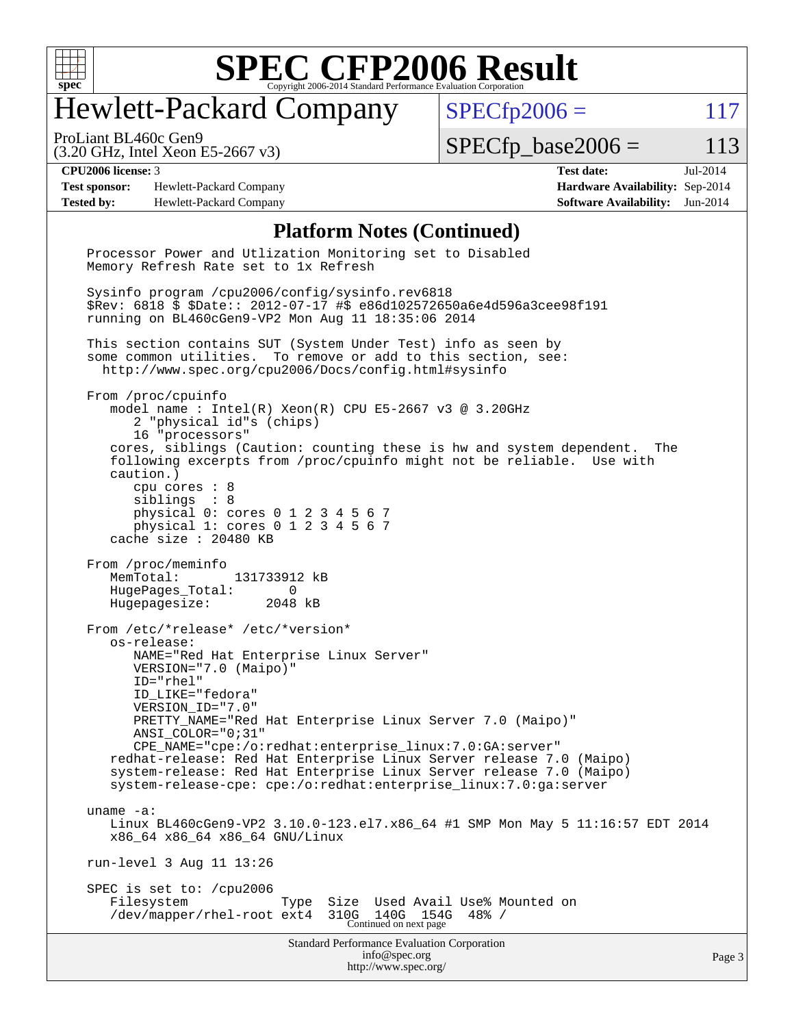

# Hewlett-Packard Company

 $SPECfp2006 = 117$  $SPECfp2006 = 117$ 

(3.20 GHz, Intel Xeon E5-2667 v3) ProLiant BL460c Gen9

 $SPECTp\_base2006 = 113$ 

**[Test sponsor:](http://www.spec.org/auto/cpu2006/Docs/result-fields.html#Testsponsor)** Hewlett-Packard Company **[Hardware Availability:](http://www.spec.org/auto/cpu2006/Docs/result-fields.html#HardwareAvailability)** Sep-2014 **[Tested by:](http://www.spec.org/auto/cpu2006/Docs/result-fields.html#Testedby)** Hewlett-Packard Company **[Software Availability:](http://www.spec.org/auto/cpu2006/Docs/result-fields.html#SoftwareAvailability)** Jun-2014

**[CPU2006 license:](http://www.spec.org/auto/cpu2006/Docs/result-fields.html#CPU2006license)** 3 **[Test date:](http://www.spec.org/auto/cpu2006/Docs/result-fields.html#Testdate)** Jul-2014

#### **[Platform Notes \(Continued\)](http://www.spec.org/auto/cpu2006/Docs/result-fields.html#PlatformNotes)**

Standard Performance Evaluation Corporation [info@spec.org](mailto:info@spec.org) <http://www.spec.org/> Processor Power and Utlization Monitoring set to Disabled Memory Refresh Rate set to 1x Refresh Sysinfo program /cpu2006/config/sysinfo.rev6818 \$Rev: 6818 \$ \$Date:: 2012-07-17 #\$ e86d102572650a6e4d596a3cee98f191 running on BL460cGen9-VP2 Mon Aug 11 18:35:06 2014 This section contains SUT (System Under Test) info as seen by some common utilities. To remove or add to this section, see: <http://www.spec.org/cpu2006/Docs/config.html#sysinfo> From /proc/cpuinfo model name : Intel(R) Xeon(R) CPU E5-2667 v3 @ 3.20GHz 2 "physical id"s (chips) 16 "processors" cores, siblings (Caution: counting these is hw and system dependent. The following excerpts from /proc/cpuinfo might not be reliable. Use with caution.) cpu cores : 8 siblings : 8 physical 0: cores 0 1 2 3 4 5 6 7 physical 1: cores 0 1 2 3 4 5 6 7 cache size : 20480 KB From /proc/meminfo MemTotal: 131733912 kB HugePages\_Total: 0<br>Hugepagesize: 2048 kB Hugepagesize: From /etc/\*release\* /etc/\*version\* os-release: NAME="Red Hat Enterprise Linux Server" VERSION="7.0 (Maipo)" ID="rhel" ID\_LIKE="fedora" VERSION\_ID="7.0" PRETTY\_NAME="Red Hat Enterprise Linux Server 7.0 (Maipo)" ANSI\_COLOR="0;31" CPE\_NAME="cpe:/o:redhat:enterprise\_linux:7.0:GA:server" redhat-release: Red Hat Enterprise Linux Server release 7.0 (Maipo) system-release: Red Hat Enterprise Linux Server release 7.0 (Maipo) system-release-cpe: cpe:/o:redhat:enterprise\_linux:7.0:ga:server uname -a: Linux BL460cGen9-VP2 3.10.0-123.el7.x86\_64 #1 SMP Mon May 5 11:16:57 EDT 2014 x86\_64 x86\_64 x86\_64 GNU/Linux run-level 3 Aug 11 13:26 SPEC is set to: /cpu2006 Filesystem Type Size Used Avail Use% Mounted on /dev/mapper/rhel-root ext4 310G 140G 154G 48% / Continued on next page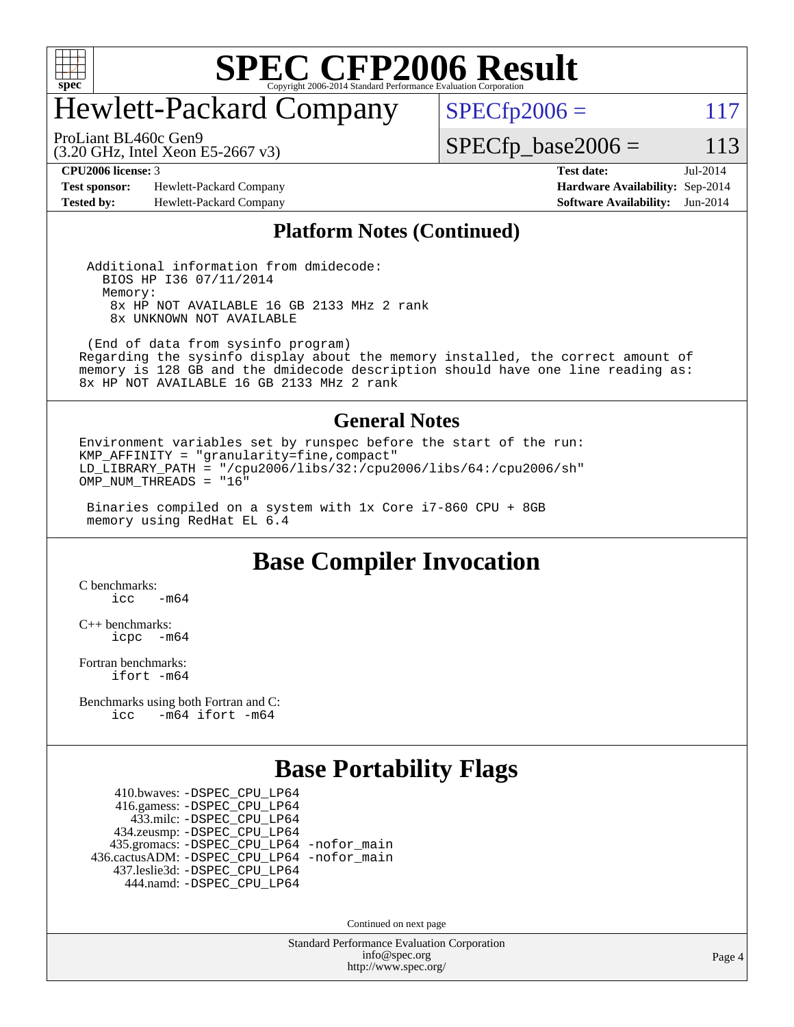

# Hewlett-Packard Company

 $SPECTp2006 = 117$ 

(3.20 GHz, Intel Xeon E5-2667 v3) ProLiant BL460c Gen9

 $SPECfp\_base2006 = 113$ 

**[Test sponsor:](http://www.spec.org/auto/cpu2006/Docs/result-fields.html#Testsponsor)** Hewlett-Packard Company **[Hardware Availability:](http://www.spec.org/auto/cpu2006/Docs/result-fields.html#HardwareAvailability)** Sep-2014 **[Tested by:](http://www.spec.org/auto/cpu2006/Docs/result-fields.html#Testedby)** Hewlett-Packard Company **[Software Availability:](http://www.spec.org/auto/cpu2006/Docs/result-fields.html#SoftwareAvailability)** Jun-2014

**[CPU2006 license:](http://www.spec.org/auto/cpu2006/Docs/result-fields.html#CPU2006license)** 3 **[Test date:](http://www.spec.org/auto/cpu2006/Docs/result-fields.html#Testdate)** Jul-2014

#### **[Platform Notes \(Continued\)](http://www.spec.org/auto/cpu2006/Docs/result-fields.html#PlatformNotes)**

 Additional information from dmidecode: BIOS HP I36 07/11/2014 Memory: 8x HP NOT AVAILABLE 16 GB 2133 MHz 2 rank 8x UNKNOWN NOT AVAILABLE

 (End of data from sysinfo program) Regarding the sysinfo display about the memory installed, the correct amount of memory is 128 GB and the dmidecode description should have one line reading as: 8x HP NOT AVAILABLE 16 GB 2133 MHz 2 rank

#### **[General Notes](http://www.spec.org/auto/cpu2006/Docs/result-fields.html#GeneralNotes)**

Environment variables set by runspec before the start of the run: KMP\_AFFINITY = "granularity=fine,compact" LD LIBRARY\_PATH = "/cpu2006/libs/32:/cpu2006/libs/64:/cpu2006/sh" OMP\_NUM\_THREADS = "16"

 Binaries compiled on a system with 1x Core i7-860 CPU + 8GB memory using RedHat EL 6.4

### **[Base Compiler Invocation](http://www.spec.org/auto/cpu2006/Docs/result-fields.html#BaseCompilerInvocation)**

[C benchmarks](http://www.spec.org/auto/cpu2006/Docs/result-fields.html#Cbenchmarks):  $\text{icc}$   $-\text{m64}$ 

[C++ benchmarks:](http://www.spec.org/auto/cpu2006/Docs/result-fields.html#CXXbenchmarks) [icpc -m64](http://www.spec.org/cpu2006/results/res2014q3/cpu2006-20140908-31227.flags.html#user_CXXbase_intel_icpc_64bit_bedb90c1146cab66620883ef4f41a67e)

[Fortran benchmarks](http://www.spec.org/auto/cpu2006/Docs/result-fields.html#Fortranbenchmarks): [ifort -m64](http://www.spec.org/cpu2006/results/res2014q3/cpu2006-20140908-31227.flags.html#user_FCbase_intel_ifort_64bit_ee9d0fb25645d0210d97eb0527dcc06e)

[Benchmarks using both Fortran and C](http://www.spec.org/auto/cpu2006/Docs/result-fields.html#BenchmarksusingbothFortranandC): [icc -m64](http://www.spec.org/cpu2006/results/res2014q3/cpu2006-20140908-31227.flags.html#user_CC_FCbase_intel_icc_64bit_0b7121f5ab7cfabee23d88897260401c) [ifort -m64](http://www.spec.org/cpu2006/results/res2014q3/cpu2006-20140908-31227.flags.html#user_CC_FCbase_intel_ifort_64bit_ee9d0fb25645d0210d97eb0527dcc06e)

### **[Base Portability Flags](http://www.spec.org/auto/cpu2006/Docs/result-fields.html#BasePortabilityFlags)**

 410.bwaves: [-DSPEC\\_CPU\\_LP64](http://www.spec.org/cpu2006/results/res2014q3/cpu2006-20140908-31227.flags.html#suite_basePORTABILITY410_bwaves_DSPEC_CPU_LP64) 416.gamess: [-DSPEC\\_CPU\\_LP64](http://www.spec.org/cpu2006/results/res2014q3/cpu2006-20140908-31227.flags.html#suite_basePORTABILITY416_gamess_DSPEC_CPU_LP64) 433.milc: [-DSPEC\\_CPU\\_LP64](http://www.spec.org/cpu2006/results/res2014q3/cpu2006-20140908-31227.flags.html#suite_basePORTABILITY433_milc_DSPEC_CPU_LP64) 434.zeusmp: [-DSPEC\\_CPU\\_LP64](http://www.spec.org/cpu2006/results/res2014q3/cpu2006-20140908-31227.flags.html#suite_basePORTABILITY434_zeusmp_DSPEC_CPU_LP64) 435.gromacs: [-DSPEC\\_CPU\\_LP64](http://www.spec.org/cpu2006/results/res2014q3/cpu2006-20140908-31227.flags.html#suite_basePORTABILITY435_gromacs_DSPEC_CPU_LP64) [-nofor\\_main](http://www.spec.org/cpu2006/results/res2014q3/cpu2006-20140908-31227.flags.html#user_baseLDPORTABILITY435_gromacs_f-nofor_main) 436.cactusADM: [-DSPEC\\_CPU\\_LP64](http://www.spec.org/cpu2006/results/res2014q3/cpu2006-20140908-31227.flags.html#suite_basePORTABILITY436_cactusADM_DSPEC_CPU_LP64) [-nofor\\_main](http://www.spec.org/cpu2006/results/res2014q3/cpu2006-20140908-31227.flags.html#user_baseLDPORTABILITY436_cactusADM_f-nofor_main) 437.leslie3d: [-DSPEC\\_CPU\\_LP64](http://www.spec.org/cpu2006/results/res2014q3/cpu2006-20140908-31227.flags.html#suite_basePORTABILITY437_leslie3d_DSPEC_CPU_LP64) 444.namd: [-DSPEC\\_CPU\\_LP64](http://www.spec.org/cpu2006/results/res2014q3/cpu2006-20140908-31227.flags.html#suite_basePORTABILITY444_namd_DSPEC_CPU_LP64)

Continued on next page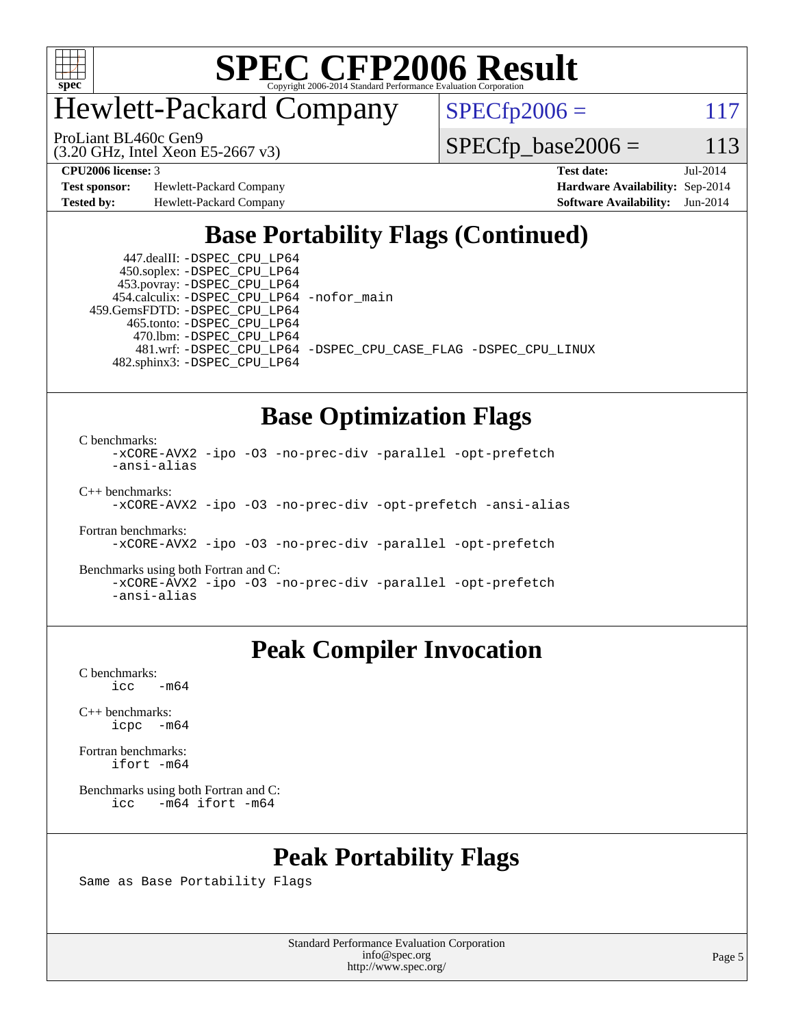

# Hewlett-Packard Company

ProLiant BL460c Gen9

 $SPECfp2006 = 117$  $SPECfp2006 = 117$ 

(3.20 GHz, Intel Xeon E5-2667 v3)

 $SPECfp\_base2006 = 113$ 

**[Test sponsor:](http://www.spec.org/auto/cpu2006/Docs/result-fields.html#Testsponsor)** Hewlett-Packard Company **[Hardware Availability:](http://www.spec.org/auto/cpu2006/Docs/result-fields.html#HardwareAvailability)** Sep-2014 **[Tested by:](http://www.spec.org/auto/cpu2006/Docs/result-fields.html#Testedby)** Hewlett-Packard Company **[Software Availability:](http://www.spec.org/auto/cpu2006/Docs/result-fields.html#SoftwareAvailability)** Jun-2014

**[CPU2006 license:](http://www.spec.org/auto/cpu2006/Docs/result-fields.html#CPU2006license)** 3 **[Test date:](http://www.spec.org/auto/cpu2006/Docs/result-fields.html#Testdate)** Jul-2014

## **[Base Portability Flags \(Continued\)](http://www.spec.org/auto/cpu2006/Docs/result-fields.html#BasePortabilityFlags)**

 447.dealII: [-DSPEC\\_CPU\\_LP64](http://www.spec.org/cpu2006/results/res2014q3/cpu2006-20140908-31227.flags.html#suite_basePORTABILITY447_dealII_DSPEC_CPU_LP64) 450.soplex: [-DSPEC\\_CPU\\_LP64](http://www.spec.org/cpu2006/results/res2014q3/cpu2006-20140908-31227.flags.html#suite_basePORTABILITY450_soplex_DSPEC_CPU_LP64) 453.povray: [-DSPEC\\_CPU\\_LP64](http://www.spec.org/cpu2006/results/res2014q3/cpu2006-20140908-31227.flags.html#suite_basePORTABILITY453_povray_DSPEC_CPU_LP64) 454.calculix: [-DSPEC\\_CPU\\_LP64](http://www.spec.org/cpu2006/results/res2014q3/cpu2006-20140908-31227.flags.html#suite_basePORTABILITY454_calculix_DSPEC_CPU_LP64) [-nofor\\_main](http://www.spec.org/cpu2006/results/res2014q3/cpu2006-20140908-31227.flags.html#user_baseLDPORTABILITY454_calculix_f-nofor_main) 459.GemsFDTD: [-DSPEC\\_CPU\\_LP64](http://www.spec.org/cpu2006/results/res2014q3/cpu2006-20140908-31227.flags.html#suite_basePORTABILITY459_GemsFDTD_DSPEC_CPU_LP64) 465.tonto: [-DSPEC\\_CPU\\_LP64](http://www.spec.org/cpu2006/results/res2014q3/cpu2006-20140908-31227.flags.html#suite_basePORTABILITY465_tonto_DSPEC_CPU_LP64) 470.lbm: [-DSPEC\\_CPU\\_LP64](http://www.spec.org/cpu2006/results/res2014q3/cpu2006-20140908-31227.flags.html#suite_basePORTABILITY470_lbm_DSPEC_CPU_LP64) 481.wrf: [-DSPEC\\_CPU\\_LP64](http://www.spec.org/cpu2006/results/res2014q3/cpu2006-20140908-31227.flags.html#suite_basePORTABILITY481_wrf_DSPEC_CPU_LP64) [-DSPEC\\_CPU\\_CASE\\_FLAG](http://www.spec.org/cpu2006/results/res2014q3/cpu2006-20140908-31227.flags.html#b481.wrf_baseCPORTABILITY_DSPEC_CPU_CASE_FLAG) [-DSPEC\\_CPU\\_LINUX](http://www.spec.org/cpu2006/results/res2014q3/cpu2006-20140908-31227.flags.html#b481.wrf_baseCPORTABILITY_DSPEC_CPU_LINUX) 482.sphinx3: [-DSPEC\\_CPU\\_LP64](http://www.spec.org/cpu2006/results/res2014q3/cpu2006-20140908-31227.flags.html#suite_basePORTABILITY482_sphinx3_DSPEC_CPU_LP64)

## **[Base Optimization Flags](http://www.spec.org/auto/cpu2006/Docs/result-fields.html#BaseOptimizationFlags)**

[C benchmarks](http://www.spec.org/auto/cpu2006/Docs/result-fields.html#Cbenchmarks):

[-xCORE-AVX2](http://www.spec.org/cpu2006/results/res2014q3/cpu2006-20140908-31227.flags.html#user_CCbase_f-xAVX2_5f5fc0cbe2c9f62c816d3e45806c70d7) [-ipo](http://www.spec.org/cpu2006/results/res2014q3/cpu2006-20140908-31227.flags.html#user_CCbase_f-ipo) [-O3](http://www.spec.org/cpu2006/results/res2014q3/cpu2006-20140908-31227.flags.html#user_CCbase_f-O3) [-no-prec-div](http://www.spec.org/cpu2006/results/res2014q3/cpu2006-20140908-31227.flags.html#user_CCbase_f-no-prec-div) [-parallel](http://www.spec.org/cpu2006/results/res2014q3/cpu2006-20140908-31227.flags.html#user_CCbase_f-parallel) [-opt-prefetch](http://www.spec.org/cpu2006/results/res2014q3/cpu2006-20140908-31227.flags.html#user_CCbase_f-opt-prefetch) [-ansi-alias](http://www.spec.org/cpu2006/results/res2014q3/cpu2006-20140908-31227.flags.html#user_CCbase_f-ansi-alias) [C++ benchmarks:](http://www.spec.org/auto/cpu2006/Docs/result-fields.html#CXXbenchmarks) [-xCORE-AVX2](http://www.spec.org/cpu2006/results/res2014q3/cpu2006-20140908-31227.flags.html#user_CXXbase_f-xAVX2_5f5fc0cbe2c9f62c816d3e45806c70d7) [-ipo](http://www.spec.org/cpu2006/results/res2014q3/cpu2006-20140908-31227.flags.html#user_CXXbase_f-ipo) [-O3](http://www.spec.org/cpu2006/results/res2014q3/cpu2006-20140908-31227.flags.html#user_CXXbase_f-O3) [-no-prec-div](http://www.spec.org/cpu2006/results/res2014q3/cpu2006-20140908-31227.flags.html#user_CXXbase_f-no-prec-div) [-opt-prefetch](http://www.spec.org/cpu2006/results/res2014q3/cpu2006-20140908-31227.flags.html#user_CXXbase_f-opt-prefetch) [-ansi-alias](http://www.spec.org/cpu2006/results/res2014q3/cpu2006-20140908-31227.flags.html#user_CXXbase_f-ansi-alias)

[Fortran benchmarks](http://www.spec.org/auto/cpu2006/Docs/result-fields.html#Fortranbenchmarks):

[-xCORE-AVX2](http://www.spec.org/cpu2006/results/res2014q3/cpu2006-20140908-31227.flags.html#user_FCbase_f-xAVX2_5f5fc0cbe2c9f62c816d3e45806c70d7) [-ipo](http://www.spec.org/cpu2006/results/res2014q3/cpu2006-20140908-31227.flags.html#user_FCbase_f-ipo) [-O3](http://www.spec.org/cpu2006/results/res2014q3/cpu2006-20140908-31227.flags.html#user_FCbase_f-O3) [-no-prec-div](http://www.spec.org/cpu2006/results/res2014q3/cpu2006-20140908-31227.flags.html#user_FCbase_f-no-prec-div) [-parallel](http://www.spec.org/cpu2006/results/res2014q3/cpu2006-20140908-31227.flags.html#user_FCbase_f-parallel) [-opt-prefetch](http://www.spec.org/cpu2006/results/res2014q3/cpu2006-20140908-31227.flags.html#user_FCbase_f-opt-prefetch)

[Benchmarks using both Fortran and C](http://www.spec.org/auto/cpu2006/Docs/result-fields.html#BenchmarksusingbothFortranandC):

[-xCORE-AVX2](http://www.spec.org/cpu2006/results/res2014q3/cpu2006-20140908-31227.flags.html#user_CC_FCbase_f-xAVX2_5f5fc0cbe2c9f62c816d3e45806c70d7) [-ipo](http://www.spec.org/cpu2006/results/res2014q3/cpu2006-20140908-31227.flags.html#user_CC_FCbase_f-ipo) [-O3](http://www.spec.org/cpu2006/results/res2014q3/cpu2006-20140908-31227.flags.html#user_CC_FCbase_f-O3) [-no-prec-div](http://www.spec.org/cpu2006/results/res2014q3/cpu2006-20140908-31227.flags.html#user_CC_FCbase_f-no-prec-div) [-parallel](http://www.spec.org/cpu2006/results/res2014q3/cpu2006-20140908-31227.flags.html#user_CC_FCbase_f-parallel) [-opt-prefetch](http://www.spec.org/cpu2006/results/res2014q3/cpu2006-20140908-31227.flags.html#user_CC_FCbase_f-opt-prefetch) [-ansi-alias](http://www.spec.org/cpu2006/results/res2014q3/cpu2006-20140908-31227.flags.html#user_CC_FCbase_f-ansi-alias)

## **[Peak Compiler Invocation](http://www.spec.org/auto/cpu2006/Docs/result-fields.html#PeakCompilerInvocation)**

[C benchmarks](http://www.spec.org/auto/cpu2006/Docs/result-fields.html#Cbenchmarks):  $\text{icc}$  -m64

[C++ benchmarks:](http://www.spec.org/auto/cpu2006/Docs/result-fields.html#CXXbenchmarks) [icpc -m64](http://www.spec.org/cpu2006/results/res2014q3/cpu2006-20140908-31227.flags.html#user_CXXpeak_intel_icpc_64bit_bedb90c1146cab66620883ef4f41a67e)

[Fortran benchmarks](http://www.spec.org/auto/cpu2006/Docs/result-fields.html#Fortranbenchmarks): [ifort -m64](http://www.spec.org/cpu2006/results/res2014q3/cpu2006-20140908-31227.flags.html#user_FCpeak_intel_ifort_64bit_ee9d0fb25645d0210d97eb0527dcc06e)

[Benchmarks using both Fortran and C](http://www.spec.org/auto/cpu2006/Docs/result-fields.html#BenchmarksusingbothFortranandC): [icc -m64](http://www.spec.org/cpu2006/results/res2014q3/cpu2006-20140908-31227.flags.html#user_CC_FCpeak_intel_icc_64bit_0b7121f5ab7cfabee23d88897260401c) [ifort -m64](http://www.spec.org/cpu2006/results/res2014q3/cpu2006-20140908-31227.flags.html#user_CC_FCpeak_intel_ifort_64bit_ee9d0fb25645d0210d97eb0527dcc06e)

## **[Peak Portability Flags](http://www.spec.org/auto/cpu2006/Docs/result-fields.html#PeakPortabilityFlags)**

Same as Base Portability Flags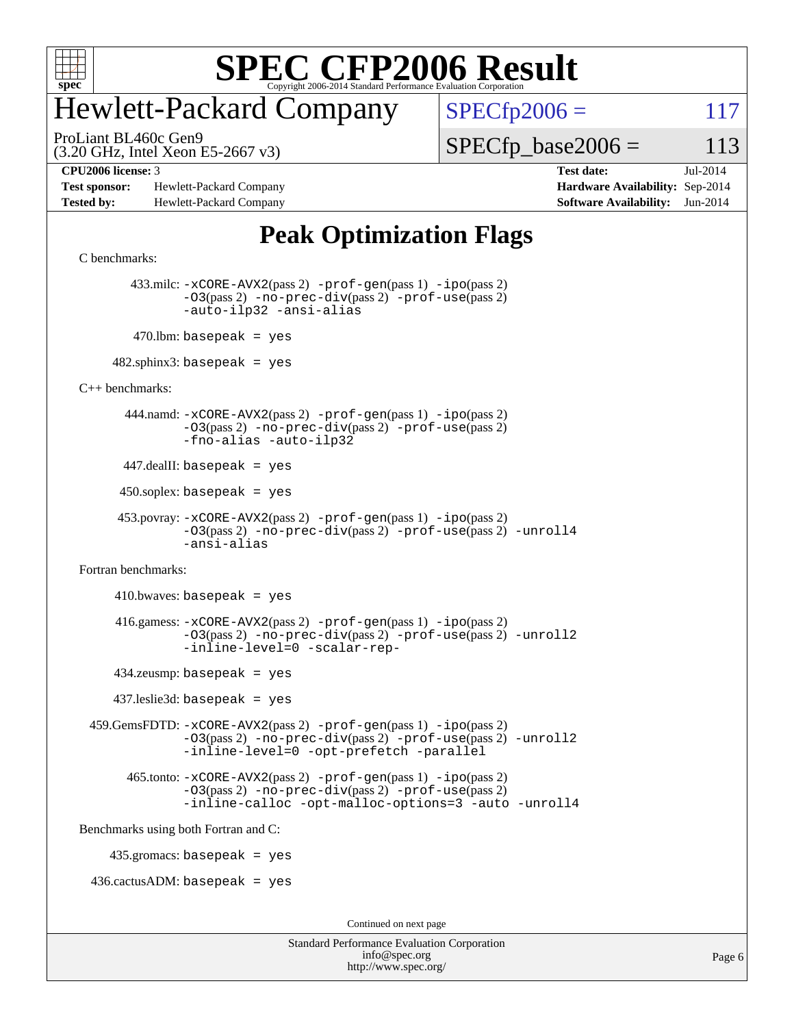

# Hewlett-Packard Company

ProLiant BL460c Gen9

 $SPECfp2006 = 117$  $SPECfp2006 = 117$ 

(3.20 GHz, Intel Xeon E5-2667 v3)

 $SPECTp\_base2006 = 113$ 

**[Test sponsor:](http://www.spec.org/auto/cpu2006/Docs/result-fields.html#Testsponsor)** Hewlett-Packard Company **[Hardware Availability:](http://www.spec.org/auto/cpu2006/Docs/result-fields.html#HardwareAvailability)** Sep-2014 **[Tested by:](http://www.spec.org/auto/cpu2006/Docs/result-fields.html#Testedby)** Hewlett-Packard Company **[Software Availability:](http://www.spec.org/auto/cpu2006/Docs/result-fields.html#SoftwareAvailability)** Jun-2014

**[CPU2006 license:](http://www.spec.org/auto/cpu2006/Docs/result-fields.html#CPU2006license)** 3 **[Test date:](http://www.spec.org/auto/cpu2006/Docs/result-fields.html#Testdate)** Jul-2014

## **[Peak Optimization Flags](http://www.spec.org/auto/cpu2006/Docs/result-fields.html#PeakOptimizationFlags)**

```
C benchmarks:
```
 433.milc: [-xCORE-AVX2](http://www.spec.org/cpu2006/results/res2014q3/cpu2006-20140908-31227.flags.html#user_peakPASS2_CFLAGSPASS2_LDFLAGS433_milc_f-xAVX2_5f5fc0cbe2c9f62c816d3e45806c70d7)(pass 2) [-prof-gen](http://www.spec.org/cpu2006/results/res2014q3/cpu2006-20140908-31227.flags.html#user_peakPASS1_CFLAGSPASS1_LDFLAGS433_milc_prof_gen_e43856698f6ca7b7e442dfd80e94a8fc)(pass 1) [-ipo](http://www.spec.org/cpu2006/results/res2014q3/cpu2006-20140908-31227.flags.html#user_peakPASS2_CFLAGSPASS2_LDFLAGS433_milc_f-ipo)(pass 2) [-O3](http://www.spec.org/cpu2006/results/res2014q3/cpu2006-20140908-31227.flags.html#user_peakPASS2_CFLAGSPASS2_LDFLAGS433_milc_f-O3)(pass 2) [-no-prec-div](http://www.spec.org/cpu2006/results/res2014q3/cpu2006-20140908-31227.flags.html#user_peakPASS2_CFLAGSPASS2_LDFLAGS433_milc_f-no-prec-div)(pass 2) [-prof-use](http://www.spec.org/cpu2006/results/res2014q3/cpu2006-20140908-31227.flags.html#user_peakPASS2_CFLAGSPASS2_LDFLAGS433_milc_prof_use_bccf7792157ff70d64e32fe3e1250b55)(pass 2) [-auto-ilp32](http://www.spec.org/cpu2006/results/res2014q3/cpu2006-20140908-31227.flags.html#user_peakCOPTIMIZE433_milc_f-auto-ilp32) [-ansi-alias](http://www.spec.org/cpu2006/results/res2014q3/cpu2006-20140908-31227.flags.html#user_peakCOPTIMIZE433_milc_f-ansi-alias)  $470$ .lbm: basepeak = yes

 $482$ .sphinx3: basepeak = yes

[C++ benchmarks:](http://www.spec.org/auto/cpu2006/Docs/result-fields.html#CXXbenchmarks)

 444.namd: [-xCORE-AVX2](http://www.spec.org/cpu2006/results/res2014q3/cpu2006-20140908-31227.flags.html#user_peakPASS2_CXXFLAGSPASS2_LDFLAGS444_namd_f-xAVX2_5f5fc0cbe2c9f62c816d3e45806c70d7)(pass 2) [-prof-gen](http://www.spec.org/cpu2006/results/res2014q3/cpu2006-20140908-31227.flags.html#user_peakPASS1_CXXFLAGSPASS1_LDFLAGS444_namd_prof_gen_e43856698f6ca7b7e442dfd80e94a8fc)(pass 1) [-ipo](http://www.spec.org/cpu2006/results/res2014q3/cpu2006-20140908-31227.flags.html#user_peakPASS2_CXXFLAGSPASS2_LDFLAGS444_namd_f-ipo)(pass 2) [-O3](http://www.spec.org/cpu2006/results/res2014q3/cpu2006-20140908-31227.flags.html#user_peakPASS2_CXXFLAGSPASS2_LDFLAGS444_namd_f-O3)(pass 2) [-no-prec-div](http://www.spec.org/cpu2006/results/res2014q3/cpu2006-20140908-31227.flags.html#user_peakPASS2_CXXFLAGSPASS2_LDFLAGS444_namd_f-no-prec-div)(pass 2) [-prof-use](http://www.spec.org/cpu2006/results/res2014q3/cpu2006-20140908-31227.flags.html#user_peakPASS2_CXXFLAGSPASS2_LDFLAGS444_namd_prof_use_bccf7792157ff70d64e32fe3e1250b55)(pass 2) [-fno-alias](http://www.spec.org/cpu2006/results/res2014q3/cpu2006-20140908-31227.flags.html#user_peakCXXOPTIMIZEOPTIMIZE444_namd_f-no-alias_694e77f6c5a51e658e82ccff53a9e63a) [-auto-ilp32](http://www.spec.org/cpu2006/results/res2014q3/cpu2006-20140908-31227.flags.html#user_peakCXXOPTIMIZE444_namd_f-auto-ilp32)

447.dealII: basepeak = yes

 $450$ .soplex: basepeak = yes

```
 453.povray: -xCORE-AVX2(pass 2) -prof-gen(pass 1) -ipo(pass 2)
-O3(pass 2) -no-prec-div(pass 2) -prof-use(pass 2) -unroll4
-ansi-alias
```
[Fortran benchmarks](http://www.spec.org/auto/cpu2006/Docs/result-fields.html#Fortranbenchmarks):

 $410.bwaves: basepeak = yes$  416.gamess: [-xCORE-AVX2](http://www.spec.org/cpu2006/results/res2014q3/cpu2006-20140908-31227.flags.html#user_peakPASS2_FFLAGSPASS2_LDFLAGS416_gamess_f-xAVX2_5f5fc0cbe2c9f62c816d3e45806c70d7)(pass 2) [-prof-gen](http://www.spec.org/cpu2006/results/res2014q3/cpu2006-20140908-31227.flags.html#user_peakPASS1_FFLAGSPASS1_LDFLAGS416_gamess_prof_gen_e43856698f6ca7b7e442dfd80e94a8fc)(pass 1) [-ipo](http://www.spec.org/cpu2006/results/res2014q3/cpu2006-20140908-31227.flags.html#user_peakPASS2_FFLAGSPASS2_LDFLAGS416_gamess_f-ipo)(pass 2) [-O3](http://www.spec.org/cpu2006/results/res2014q3/cpu2006-20140908-31227.flags.html#user_peakPASS2_FFLAGSPASS2_LDFLAGS416_gamess_f-O3)(pass 2) [-no-prec-div](http://www.spec.org/cpu2006/results/res2014q3/cpu2006-20140908-31227.flags.html#user_peakPASS2_FFLAGSPASS2_LDFLAGS416_gamess_f-no-prec-div)(pass 2) [-prof-use](http://www.spec.org/cpu2006/results/res2014q3/cpu2006-20140908-31227.flags.html#user_peakPASS2_FFLAGSPASS2_LDFLAGS416_gamess_prof_use_bccf7792157ff70d64e32fe3e1250b55)(pass 2) [-unroll2](http://www.spec.org/cpu2006/results/res2014q3/cpu2006-20140908-31227.flags.html#user_peakOPTIMIZE416_gamess_f-unroll_784dae83bebfb236979b41d2422d7ec2) [-inline-level=0](http://www.spec.org/cpu2006/results/res2014q3/cpu2006-20140908-31227.flags.html#user_peakOPTIMIZE416_gamess_f-inline-level_318d07a09274ad25e8d15dbfaa68ba50) [-scalar-rep-](http://www.spec.org/cpu2006/results/res2014q3/cpu2006-20140908-31227.flags.html#user_peakOPTIMIZE416_gamess_f-disablescalarrep_abbcad04450fb118e4809c81d83c8a1d) 434.zeusmp: basepeak = yes 437.leslie3d: basepeak = yes

 459.GemsFDTD: [-xCORE-AVX2](http://www.spec.org/cpu2006/results/res2014q3/cpu2006-20140908-31227.flags.html#user_peakPASS2_FFLAGSPASS2_LDFLAGS459_GemsFDTD_f-xAVX2_5f5fc0cbe2c9f62c816d3e45806c70d7)(pass 2) [-prof-gen](http://www.spec.org/cpu2006/results/res2014q3/cpu2006-20140908-31227.flags.html#user_peakPASS1_FFLAGSPASS1_LDFLAGS459_GemsFDTD_prof_gen_e43856698f6ca7b7e442dfd80e94a8fc)(pass 1) [-ipo](http://www.spec.org/cpu2006/results/res2014q3/cpu2006-20140908-31227.flags.html#user_peakPASS2_FFLAGSPASS2_LDFLAGS459_GemsFDTD_f-ipo)(pass 2) [-O3](http://www.spec.org/cpu2006/results/res2014q3/cpu2006-20140908-31227.flags.html#user_peakPASS2_FFLAGSPASS2_LDFLAGS459_GemsFDTD_f-O3)(pass 2) [-no-prec-div](http://www.spec.org/cpu2006/results/res2014q3/cpu2006-20140908-31227.flags.html#user_peakPASS2_FFLAGSPASS2_LDFLAGS459_GemsFDTD_f-no-prec-div)(pass 2) [-prof-use](http://www.spec.org/cpu2006/results/res2014q3/cpu2006-20140908-31227.flags.html#user_peakPASS2_FFLAGSPASS2_LDFLAGS459_GemsFDTD_prof_use_bccf7792157ff70d64e32fe3e1250b55)(pass 2) [-unroll2](http://www.spec.org/cpu2006/results/res2014q3/cpu2006-20140908-31227.flags.html#user_peakOPTIMIZE459_GemsFDTD_f-unroll_784dae83bebfb236979b41d2422d7ec2) [-inline-level=0](http://www.spec.org/cpu2006/results/res2014q3/cpu2006-20140908-31227.flags.html#user_peakOPTIMIZE459_GemsFDTD_f-inline-level_318d07a09274ad25e8d15dbfaa68ba50) [-opt-prefetch](http://www.spec.org/cpu2006/results/res2014q3/cpu2006-20140908-31227.flags.html#user_peakOPTIMIZE459_GemsFDTD_f-opt-prefetch) [-parallel](http://www.spec.org/cpu2006/results/res2014q3/cpu2006-20140908-31227.flags.html#user_peakOPTIMIZE459_GemsFDTD_f-parallel)

 465.tonto: [-xCORE-AVX2](http://www.spec.org/cpu2006/results/res2014q3/cpu2006-20140908-31227.flags.html#user_peakPASS2_FFLAGSPASS2_LDFLAGS465_tonto_f-xAVX2_5f5fc0cbe2c9f62c816d3e45806c70d7)(pass 2) [-prof-gen](http://www.spec.org/cpu2006/results/res2014q3/cpu2006-20140908-31227.flags.html#user_peakPASS1_FFLAGSPASS1_LDFLAGS465_tonto_prof_gen_e43856698f6ca7b7e442dfd80e94a8fc)(pass 1) [-ipo](http://www.spec.org/cpu2006/results/res2014q3/cpu2006-20140908-31227.flags.html#user_peakPASS2_FFLAGSPASS2_LDFLAGS465_tonto_f-ipo)(pass 2) [-O3](http://www.spec.org/cpu2006/results/res2014q3/cpu2006-20140908-31227.flags.html#user_peakPASS2_FFLAGSPASS2_LDFLAGS465_tonto_f-O3)(pass 2) [-no-prec-div](http://www.spec.org/cpu2006/results/res2014q3/cpu2006-20140908-31227.flags.html#user_peakPASS2_FFLAGSPASS2_LDFLAGS465_tonto_f-no-prec-div)(pass 2) [-prof-use](http://www.spec.org/cpu2006/results/res2014q3/cpu2006-20140908-31227.flags.html#user_peakPASS2_FFLAGSPASS2_LDFLAGS465_tonto_prof_use_bccf7792157ff70d64e32fe3e1250b55)(pass 2) [-inline-calloc](http://www.spec.org/cpu2006/results/res2014q3/cpu2006-20140908-31227.flags.html#user_peakOPTIMIZE465_tonto_f-inline-calloc) [-opt-malloc-options=3](http://www.spec.org/cpu2006/results/res2014q3/cpu2006-20140908-31227.flags.html#user_peakOPTIMIZE465_tonto_f-opt-malloc-options_13ab9b803cf986b4ee62f0a5998c2238) [-auto](http://www.spec.org/cpu2006/results/res2014q3/cpu2006-20140908-31227.flags.html#user_peakOPTIMIZE465_tonto_f-auto) [-unroll4](http://www.spec.org/cpu2006/results/res2014q3/cpu2006-20140908-31227.flags.html#user_peakOPTIMIZE465_tonto_f-unroll_4e5e4ed65b7fd20bdcd365bec371b81f)

[Benchmarks using both Fortran and C](http://www.spec.org/auto/cpu2006/Docs/result-fields.html#BenchmarksusingbothFortranandC):

435.gromacs: basepeak = yes

 $436.cactusADM: basepeak = yes$ 

Continued on next page

| <b>Standard Performance Evaluation Corporation</b> |
|----------------------------------------------------|
| info@spec.org                                      |
| http://www.spec.org/                               |